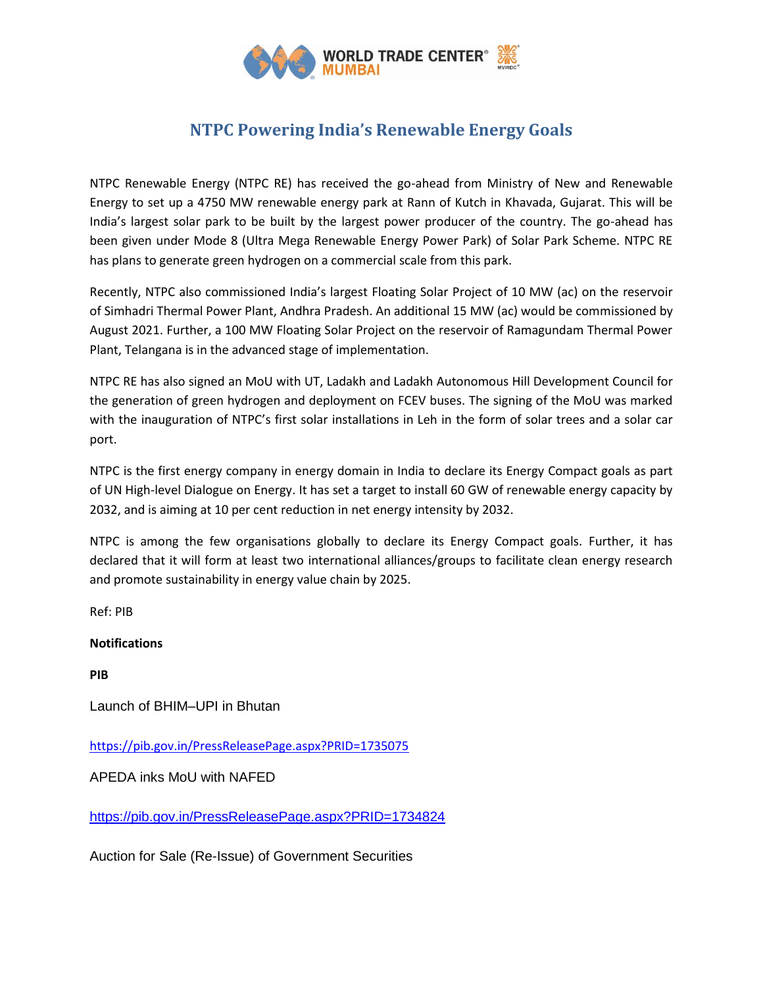

## **NTPC Powering India's Renewable Energy Goals**

NTPC Renewable Energy (NTPC RE) has received the go-ahead from Ministry of New and Renewable Energy to set up a 4750 MW renewable energy park at Rann of Kutch in Khavada, Gujarat. This will be India's largest solar park to be built by the largest power producer of the country. The go-ahead has been given under Mode 8 (Ultra Mega Renewable Energy Power Park) of Solar Park Scheme. NTPC RE has plans to generate green hydrogen on a commercial scale from this park.

Recently, NTPC also commissioned India's largest Floating Solar Project of 10 MW (ac) on the reservoir of Simhadri Thermal Power Plant, Andhra Pradesh. An additional 15 MW (ac) would be commissioned by August 2021. Further, a 100 MW Floating Solar Project on the reservoir of Ramagundam Thermal Power Plant, Telangana is in the advanced stage of implementation.

NTPC RE has also signed an MoU with UT, Ladakh and Ladakh Autonomous Hill Development Council for the generation of green hydrogen and deployment on FCEV buses. The signing of the MoU was marked with the inauguration of NTPC's first solar installations in Leh in the form of solar trees and a solar car port.

NTPC is the first energy company in energy domain in India to declare its Energy Compact goals as part of UN High-level Dialogue on Energy. It has set a target to install 60 GW of renewable energy capacity by 2032, and is aiming at 10 per cent reduction in net energy intensity by 2032.

NTPC is among the few organisations globally to declare its Energy Compact goals. Further, it has declared that it will form at least two international alliances/groups to facilitate clean energy research and promote sustainability in energy value chain by 2025.

Ref: PIB

## **Notifications**

**PIB**

Launch of BHIM–UPI in Bhutan

<https://pib.gov.in/PressReleasePage.aspx?PRID=1735075>

APEDA inks MoU with NAFED

<https://pib.gov.in/PressReleasePage.aspx?PRID=1734824>

Auction for Sale (Re-Issue) of Government Securities